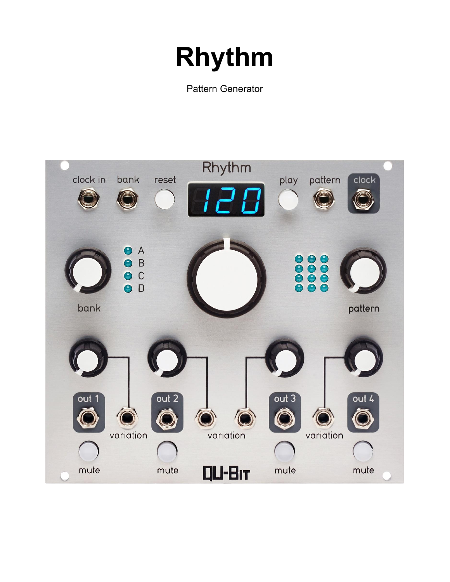# **Rhythm**

Pattern Generator

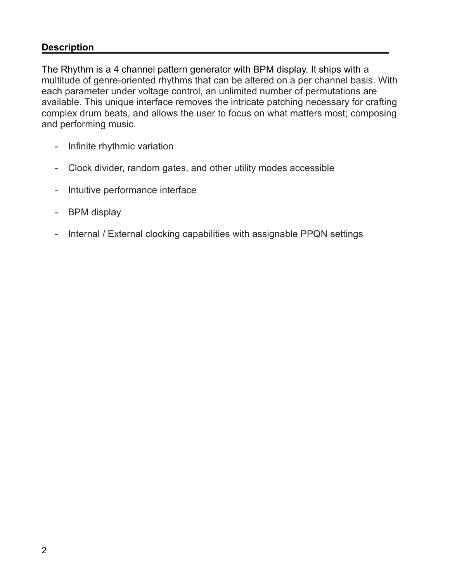# **Description**

The Rhythm is a 4 channel pattern generator with BPM display. It ships with a multitude of genre-oriented rhythms that can be altered on a per channel basis. With each parameter under voltage control, an unlimited number of permutations are available. This unique interface removes the intricate patching necessary for crafting complex drum beats, and allows the user to focus on what matters most; composing and performing music.

- Infinite rhythmic variation
- Clock divider, random gates, and other utility modes accessible
- Intuitive performance interface
- BPM display
- Internal / External clocking capabilities with assignable PPQN settings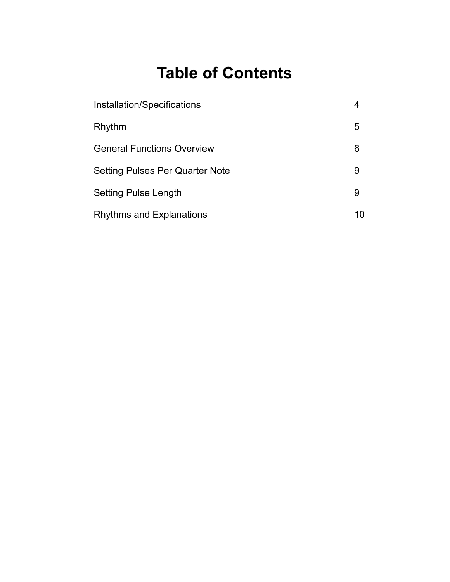# **Table of Contents**

| Installation/Specifications            | 4  |
|----------------------------------------|----|
| Rhythm                                 | 5  |
| <b>General Functions Overview</b>      | 6  |
| <b>Setting Pulses Per Quarter Note</b> | 9  |
| <b>Setting Pulse Length</b>            | 9  |
| <b>Rhythms and Explanations</b>        | 10 |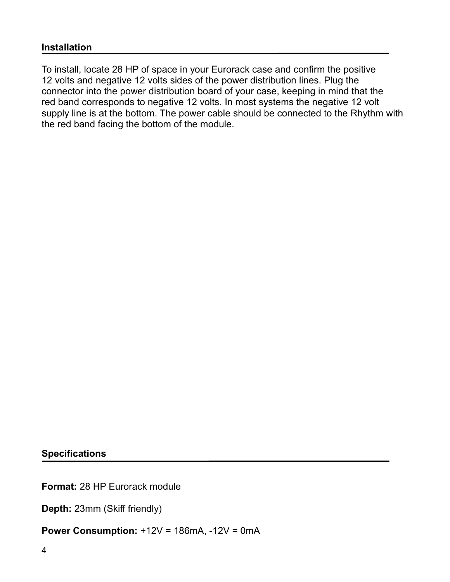#### **Installation**

To install, locate 28 HP of space in your Eurorack case and confirm the positive 12 volts and negative 12 volts sides of the power distribution lines. Plug the connector into the power distribution board of your case, keeping in mind that the red band corresponds to negative 12 volts. In most systems the negative 12 volt supply line is at the bottom. The power cable should be connected to the Rhythm with the red band facing the bottom of the module.

# **Specifications**

**Format:** 28 HP Eurorack module

**Depth:** 23mm (Skiff friendly)

**Power Consumption:** +12V = 186mA, -12V = 0mA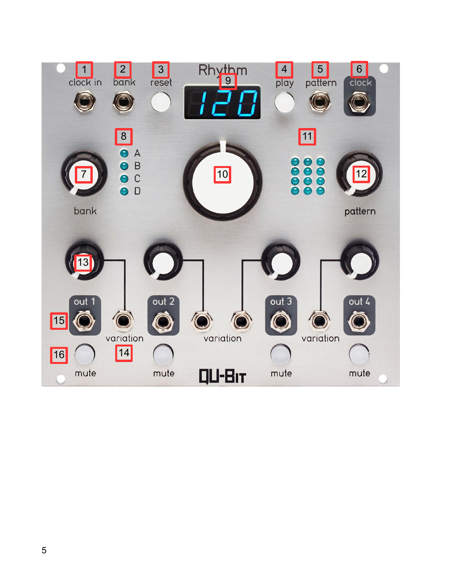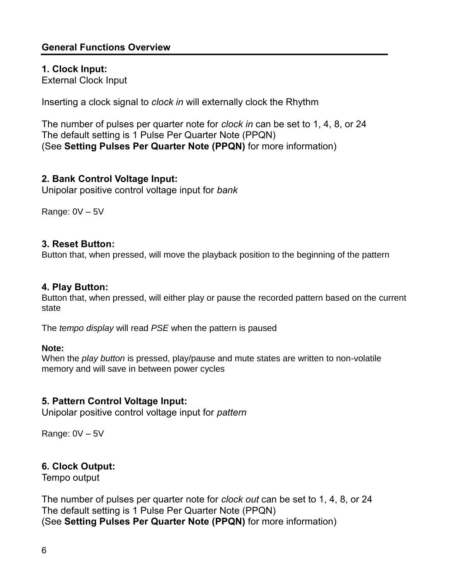#### **General Functions Overview**

#### **1. Clock Input:**

External Clock Input

Inserting a clock signal to *clock in* will externally clock the Rhythm

The number of pulses per quarter note for *clock in* can be set to 1, 4, 8, or 24 The default setting is 1 Pulse Per Quarter Note (PPQN) (See **Setting Pulses Per Quarter Note (PPQN)** for more information)

#### **2. Bank Control Voltage Input:**

Unipolar positive control voltage input for *bank*

Range: 0V – 5V

#### **3. Reset Button:**

Button that, when pressed, will move the playback position to the beginning of the pattern

#### **4. Play Button:**

Button that, when pressed, will either play or pause the recorded pattern based on the current state

The *tempo display* will read *PSE* when the pattern is paused

#### **Note:**

When the *play button* is pressed, play/pause and mute states are written to non-volatile memory and will save in between power cycles

#### **5. Pattern Control Voltage Input:**

Unipolar positive control voltage input for *pattern*

Range: 0V – 5V

#### **6. Clock Output:**

Tempo output

The number of pulses per quarter note for *clock out* can be set to 1, 4, 8, or 24 The default setting is 1 Pulse Per Quarter Note (PPQN) (See **Setting Pulses Per Quarter Note (PPQN)** for more information)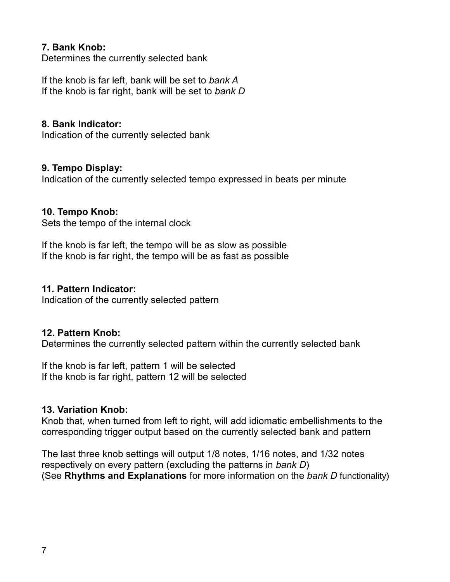# **7. Bank Knob:**

Determines the currently selected bank

If the knob is far left, bank will be set to *bank A* If the knob is far right, bank will be set to *bank D*

#### **8. Bank Indicator:**

Indication of the currently selected bank

#### **9. Tempo Display:**

Indication of the currently selected tempo expressed in beats per minute

#### **10. Tempo Knob:**

Sets the tempo of the internal clock

If the knob is far left, the tempo will be as slow as possible If the knob is far right, the tempo will be as fast as possible

# **11. Pattern Indicator:**

Indication of the currently selected pattern

#### **12. Pattern Knob:**

Determines the currently selected pattern within the currently selected bank

If the knob is far left, pattern 1 will be selected If the knob is far right, pattern 12 will be selected

#### **13. Variation Knob:**

Knob that, when turned from left to right, will add idiomatic embellishments to the corresponding trigger output based on the currently selected bank and pattern

The last three knob settings will output 1/8 notes, 1/16 notes, and 1/32 notes respectively on every pattern (excluding the patterns in *bank D*) (See **Rhythms and Explanations** for more information on the *bank D* functionality)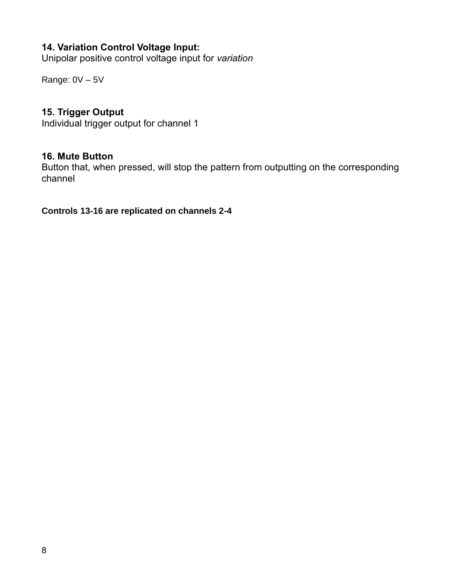# **14. Variation Control Voltage Input:**

Unipolar positive control voltage input for *variation*

Range: 0V – 5V

# **15. Trigger Output**

Individual trigger output for channel 1

#### **16. Mute Button**

Button that, when pressed, will stop the pattern from outputting on the corresponding channel

**Controls 13-16 are replicated on channels 2-4**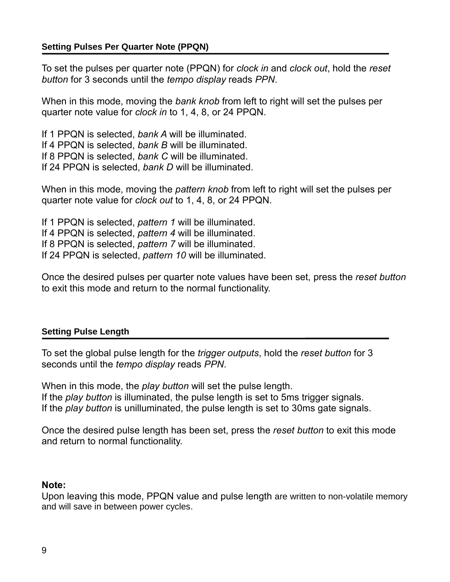#### **Setting Pulses Per Quarter Note (PPQN)**

To set the pulses per quarter note (PPQN) for *clock in* and *clock out*, hold the *reset button* for 3 seconds until the *tempo display* reads *PPN*.

When in this mode, moving the *bank knob* from left to right will set the pulses per quarter note value for *clock in* to 1, 4, 8, or 24 PPQN.

If 1 PPQN is selected, *bank A* will be illuminated. If 4 PPQN is selected, *bank B* will be illuminated. If 8 PPQN is selected, *bank C* will be illuminated. If 24 PPQN is selected, *bank D* will be illuminated.

When in this mode, moving the *pattern knob* from left to right will set the pulses per quarter note value for *clock out* to 1, 4, 8, or 24 PPQN.

If 1 PPQN is selected, *pattern 1* will be illuminated. If 4 PPQN is selected, *pattern 4* will be illuminated. If 8 PPQN is selected, *pattern 7* will be illuminated. If 24 PPQN is selected, *pattern 10* will be illuminated.

Once the desired pulses per quarter note values have been set, press the *reset button* to exit this mode and return to the normal functionality.

#### **Setting Pulse Length**

To set the global pulse length for the *trigger outputs*, hold the *reset button* for 3 seconds until the *tempo display* reads *PPN*.

When in this mode, the *play button* will set the pulse length. If the *play button* is illuminated, the pulse length is set to 5ms trigger signals. If the *play button* is unilluminated, the pulse length is set to 30ms gate signals.

Once the desired pulse length has been set, press the *reset button* to exit this mode and return to normal functionality.

#### **Note:**

Upon leaving this mode, PPQN value and pulse length are written to non-volatile memory and will save in between power cycles.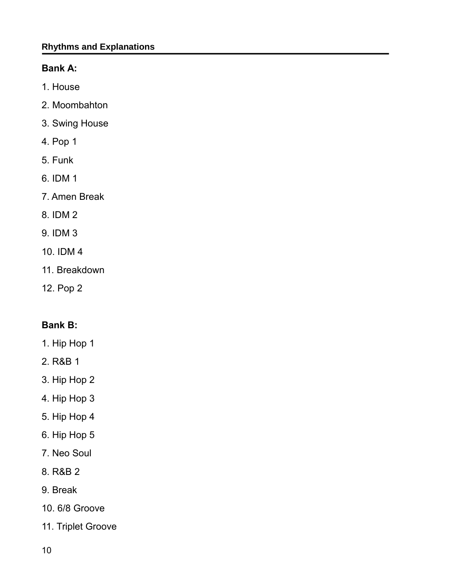#### **Rhythms and Explanations**

# **Bank A:**

- 1. House
- 2. Moombahton
- 3. Swing House
- 4. Pop 1
- 5. Funk
- 6. IDM 1
- 7. Amen Break
- 8. IDM 2
- 9. IDM 3
- 10. IDM 4
- 11. Breakdown
- 12. Pop 2

# **Bank B:**

- 1. Hip Hop 1
- 2. R&B 1
- 3. Hip Hop 2
- 4. Hip Hop 3
- 5. Hip Hop 4
- 6. Hip Hop 5
- 7. Neo Soul
- 8. R&B 2
- 9. Break
- 10. 6/8 Groove
- 11. Triplet Groove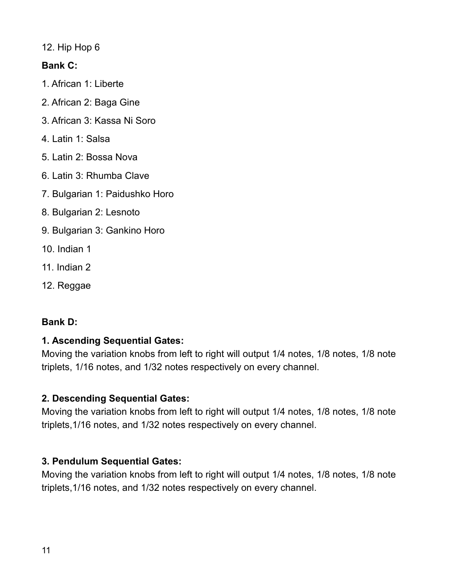12. Hip Hop 6

# **Bank C:**

- 1. African 1: Liberte
- 2. African 2: Baga Gine
- 3. African 3: Kassa Ni Soro
- 4. Latin 1: Salsa
- 5. Latin 2: Bossa Nova
- 6. Latin 3: Rhumba Clave
- 7. Bulgarian 1: Paidushko Horo
- 8. Bulgarian 2: Lesnoto
- 9. Bulgarian 3: Gankino Horo
- 10. Indian 1
- 11. Indian 2
- 12. Reggae

# **Bank D:**

# **1. Ascending Sequential Gates:**

Moving the variation knobs from left to right will output 1/4 notes, 1/8 notes, 1/8 note triplets, 1/16 notes, and 1/32 notes respectively on every channel.

# **2. Descending Sequential Gates:**

Moving the variation knobs from left to right will output 1/4 notes, 1/8 notes, 1/8 note triplets,1/16 notes, and 1/32 notes respectively on every channel.

# **3. Pendulum Sequential Gates:**

Moving the variation knobs from left to right will output 1/4 notes, 1/8 notes, 1/8 note triplets,1/16 notes, and 1/32 notes respectively on every channel.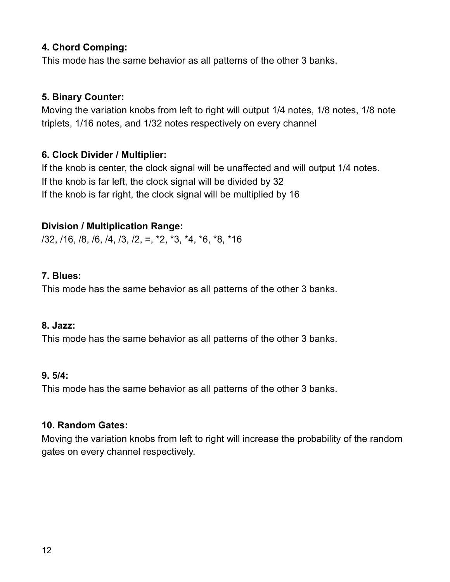# **4. Chord Comping:**

This mode has the same behavior as all patterns of the other 3 banks.

#### **5. Binary Counter:**

Moving the variation knobs from left to right will output 1/4 notes, 1/8 notes, 1/8 note triplets, 1/16 notes, and 1/32 notes respectively on every channel

#### **6. Clock Divider / Multiplier:**

If the knob is center, the clock signal will be unaffected and will output 1/4 notes. If the knob is far left, the clock signal will be divided by 32 If the knob is far right, the clock signal will be multiplied by 16

#### **Division / Multiplication Range:**

/32, /16, /8, /6, /4, /3, /2, =, \*2, \*3, \*4, \*6, \*8, \*16

#### **7. Blues:**

This mode has the same behavior as all patterns of the other 3 banks.

#### **8. Jazz:**

This mode has the same behavior as all patterns of the other 3 banks.

#### **9. 5/4:**

This mode has the same behavior as all patterns of the other 3 banks.

#### **10. Random Gates:**

Moving the variation knobs from left to right will increase the probability of the random gates on every channel respectively.